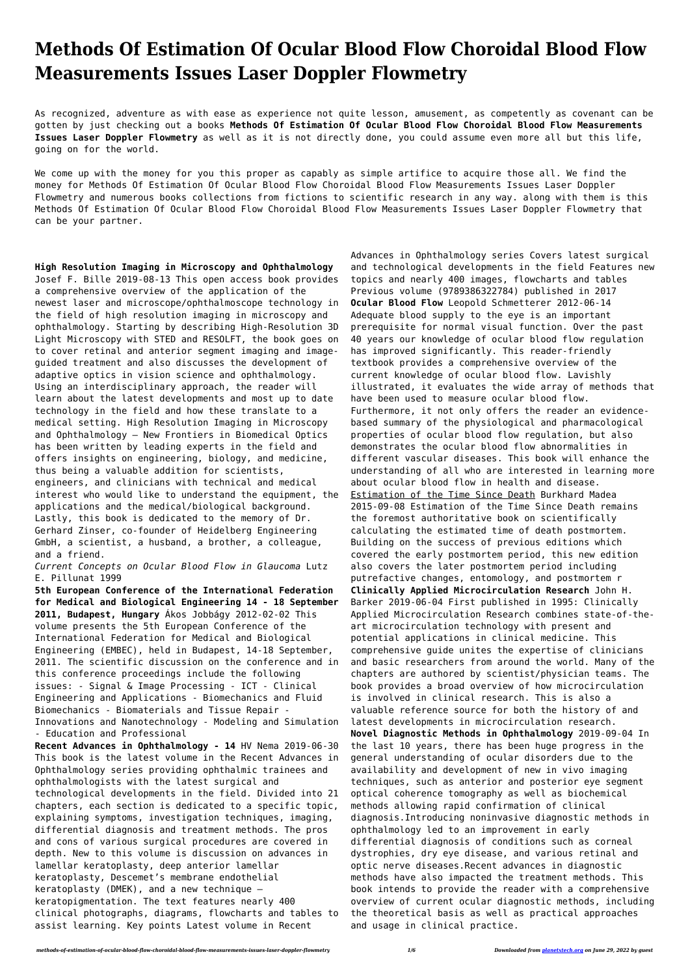## **Methods Of Estimation Of Ocular Blood Flow Choroidal Blood Flow Measurements Issues Laser Doppler Flowmetry**

As recognized, adventure as with ease as experience not quite lesson, amusement, as competently as covenant can be gotten by just checking out a books **Methods Of Estimation Of Ocular Blood Flow Choroidal Blood Flow Measurements Issues Laser Doppler Flowmetry** as well as it is not directly done, you could assume even more all but this life, going on for the world.

We come up with the money for you this proper as capably as simple artifice to acquire those all. We find the money for Methods Of Estimation Of Ocular Blood Flow Choroidal Blood Flow Measurements Issues Laser Doppler Flowmetry and numerous books collections from fictions to scientific research in any way. along with them is this Methods Of Estimation Of Ocular Blood Flow Choroidal Blood Flow Measurements Issues Laser Doppler Flowmetry that can be your partner.

**High Resolution Imaging in Microscopy and Ophthalmology** Josef F. Bille 2019-08-13 This open access book provides a comprehensive overview of the application of the newest laser and microscope/ophthalmoscope technology in the field of high resolution imaging in microscopy and ophthalmology. Starting by describing High-Resolution 3D Light Microscopy with STED and RESOLFT, the book goes on to cover retinal and anterior segment imaging and imageguided treatment and also discusses the development of adaptive optics in vision science and ophthalmology. Using an interdisciplinary approach, the reader will learn about the latest developments and most up to date technology in the field and how these translate to a medical setting. High Resolution Imaging in Microscopy and Ophthalmology – New Frontiers in Biomedical Optics has been written by leading experts in the field and offers insights on engineering, biology, and medicine, thus being a valuable addition for scientists, engineers, and clinicians with technical and medical interest who would like to understand the equipment, the applications and the medical/biological background. Lastly, this book is dedicated to the memory of Dr. Gerhard Zinser, co-founder of Heidelberg Engineering GmbH, a scientist, a husband, a brother, a colleague, and a friend.

*Current Concepts on Ocular Blood Flow in Glaucoma* Lutz E. Pillunat 1999

**5th European Conference of the International Federation for Medical and Biological Engineering 14 - 18 September 2011, Budapest, Hungary** Ákos Jobbágy 2012-02-02 This volume presents the 5th European Conference of the International Federation for Medical and Biological Engineering (EMBEC), held in Budapest, 14-18 September, 2011. The scientific discussion on the conference and in this conference proceedings include the following issues: - Signal & Image Processing - ICT - Clinical Engineering and Applications - Biomechanics and Fluid Biomechanics - Biomaterials and Tissue Repair - Innovations and Nanotechnology - Modeling and Simulation - Education and Professional **Recent Advances in Ophthalmology - 14** HV Nema 2019-06-30 This book is the latest volume in the Recent Advances in Ophthalmology series providing ophthalmic trainees and ophthalmologists with the latest surgical and technological developments in the field. Divided into 21 chapters, each section is dedicated to a specific topic, explaining symptoms, investigation techniques, imaging, differential diagnosis and treatment methods. The pros and cons of various surgical procedures are covered in depth. New to this volume is discussion on advances in lamellar keratoplasty, deep anterior lamellar keratoplasty, Descemet's membrane endothelial keratoplasty (DMEK), and a new technique – keratopigmentation. The text features nearly 400 clinical photographs, diagrams, flowcharts and tables to assist learning. Key points Latest volume in Recent

Advances in Ophthalmology series Covers latest surgical and technological developments in the field Features new topics and nearly 400 images, flowcharts and tables Previous volume (9789386322784) published in 2017 **Ocular Blood Flow** Leopold Schmetterer 2012-06-14 Adequate blood supply to the eye is an important prerequisite for normal visual function. Over the past 40 years our knowledge of ocular blood flow regulation has improved significantly. This reader-friendly textbook provides a comprehensive overview of the current knowledge of ocular blood flow. Lavishly illustrated, it evaluates the wide array of methods that have been used to measure ocular blood flow. Furthermore, it not only offers the reader an evidencebased summary of the physiological and pharmacological properties of ocular blood flow regulation, but also demonstrates the ocular blood flow abnormalities in different vascular diseases. This book will enhance the understanding of all who are interested in learning more about ocular blood flow in health and disease. Estimation of the Time Since Death Burkhard Madea 2015-09-08 Estimation of the Time Since Death remains the foremost authoritative book on scientifically calculating the estimated time of death postmortem. Building on the success of previous editions which covered the early postmortem period, this new edition also covers the later postmortem period including putrefactive changes, entomology, and postmortem r **Clinically Applied Microcirculation Research** John H. Barker 2019-06-04 First published in 1995: Clinically Applied Microcirculation Research combines state-of-theart microcirculation technology with present and potential applications in clinical medicine. This comprehensive guide unites the expertise of clinicians and basic researchers from around the world. Many of the chapters are authored by scientist/physician teams. The book provides a broad overview of how microcirculation is involved in clinical research. This is also a valuable reference source for both the history of and latest developments in microcirculation research. **Novel Diagnostic Methods in Ophthalmology** 2019-09-04 In the last 10 years, there has been huge progress in the general understanding of ocular disorders due to the availability and development of new in vivo imaging techniques, such as anterior and posterior eye segment optical coherence tomography as well as biochemical methods allowing rapid confirmation of clinical diagnosis.Introducing noninvasive diagnostic methods in ophthalmology led to an improvement in early differential diagnosis of conditions such as corneal dystrophies, dry eye disease, and various retinal and optic nerve diseases.Recent advances in diagnostic methods have also impacted the treatment methods. This book intends to provide the reader with a comprehensive overview of current ocular diagnostic methods, including the theoretical basis as well as practical approaches and usage in clinical practice.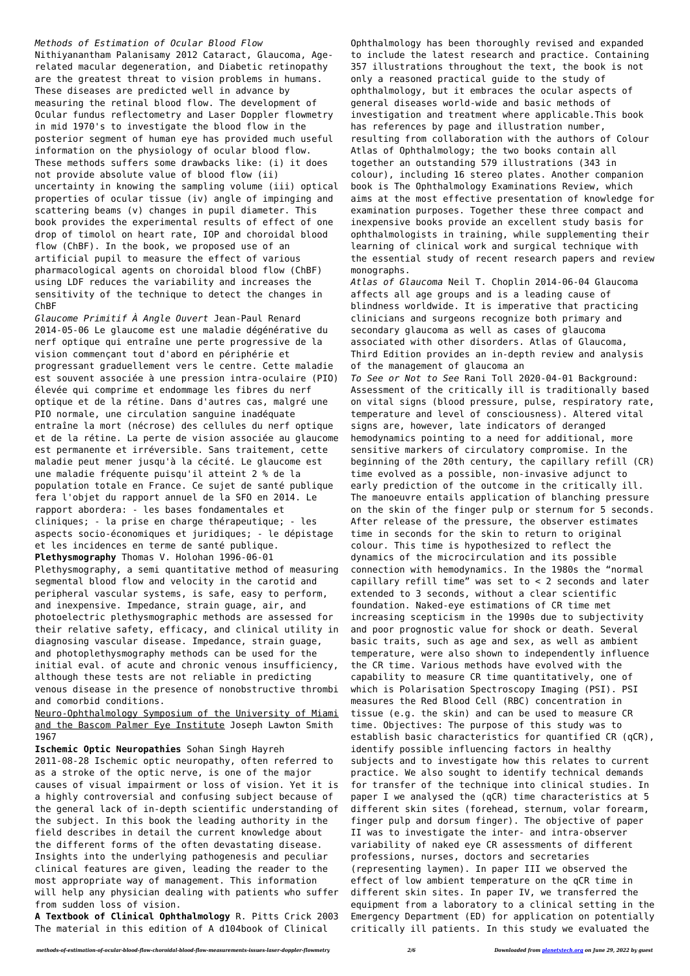## *Methods of Estimation of Ocular Blood Flow*

Nithiyanantham Palanisamy 2012 Cataract, Glaucoma, Agerelated macular degeneration, and Diabetic retinopathy are the greatest threat to vision problems in humans. These diseases are predicted well in advance by measuring the retinal blood flow. The development of Ocular fundus reflectometry and Laser Doppler flowmetry in mid 1970's to investigate the blood flow in the posterior segment of human eye has provided much useful information on the physiology of ocular blood flow. These methods suffers some drawbacks like: (i) it does not provide absolute value of blood flow (ii) uncertainty in knowing the sampling volume (iii) optical properties of ocular tissue (iv) angle of impinging and scattering beams (v) changes in pupil diameter. This book provides the experimental results of effect of one drop of timolol on heart rate, IOP and choroidal blood flow (ChBF). In the book, we proposed use of an artificial pupil to measure the effect of various pharmacological agents on choroidal blood flow (ChBF) using LDF reduces the variability and increases the sensitivity of the technique to detect the changes in ChBF

Neuro-Ophthalmology Symposium of the University of Miami and the Bascom Palmer Eye Institute Joseph Lawton Smith

*Glaucome Primitif À Angle Ouvert* Jean-Paul Renard 2014-05-06 Le glaucome est une maladie dégénérative du nerf optique qui entraîne une perte progressive de la vision commençant tout d'abord en périphérie et progressant graduellement vers le centre. Cette maladie est souvent associée à une pression intra-oculaire (PIO) élevée qui comprime et endommage les fibres du nerf optique et de la rétine. Dans d'autres cas, malgré une PIO normale, une circulation sanguine inadéquate entraîne la mort (nécrose) des cellules du nerf optique et de la rétine. La perte de vision associée au glaucome est permanente et irréversible. Sans traitement, cette maladie peut mener jusqu'à la cécité. Le glaucome est une maladie fréquente puisqu'il atteint 2 % de la population totale en France. Ce sujet de santé publique fera l'objet du rapport annuel de la SFO en 2014. Le rapport abordera: - les bases fondamentales et cliniques; - la prise en charge thérapeutique; - les aspects socio-économiques et juridiques; - le dépistage et les incidences en terme de santé publique. **Plethysmography** Thomas V. Holohan 1996-06-01 Plethysmography, a semi quantitative method of measuring segmental blood flow and velocity in the carotid and peripheral vascular systems, is safe, easy to perform, and inexpensive. Impedance, strain guage, air, and photoelectric plethysmographic methods are assessed for their relative safety, efficacy, and clinical utility in diagnosing vascular disease. Impedance, strain guage, and photoplethysmography methods can be used for the initial eval. of acute and chronic venous insufficiency, although these tests are not reliable in predicting venous disease in the presence of nonobstructive thrombi and comorbid conditions.

1967

**Ischemic Optic Neuropathies** Sohan Singh Hayreh 2011-08-28 Ischemic optic neuropathy, often referred to as a stroke of the optic nerve, is one of the major causes of visual impairment or loss of vision. Yet it is a highly controversial and confusing subject because of the general lack of in-depth scientific understanding of the subject. In this book the leading authority in the field describes in detail the current knowledge about the different forms of the often devastating disease. Insights into the underlying pathogenesis and peculiar clinical features are given, leading the reader to the most appropriate way of management. This information will help any physician dealing with patients who suffer from sudden loss of vision.

**A Textbook of Clinical Ophthalmology** R. Pitts Crick 2003 The material in this edition of A d104book of Clinical

Ophthalmology has been thoroughly revised and expanded to include the latest research and practice. Containing 357 illustrations throughout the text, the book is not only a reasoned practical guide to the study of ophthalmology, but it embraces the ocular aspects of general diseases world-wide and basic methods of investigation and treatment where applicable.This book has references by page and illustration number, resulting from collaboration with the authors of Colour Atlas of Ophthalmology; the two books contain all together an outstanding 579 illustrations (343 in colour), including 16 stereo plates. Another companion book is The Ophthalmology Examinations Review, which aims at the most effective presentation of knowledge for examination purposes. Together these three compact and inexpensive books provide an excellent study basis for ophthalmologists in training, while supplementing their learning of clinical work and surgical technique with the essential study of recent research papers and review monographs.

*Atlas of Glaucoma* Neil T. Choplin 2014-06-04 Glaucoma affects all age groups and is a leading cause of blindness worldwide. It is imperative that practicing clinicians and surgeons recognize both primary and secondary glaucoma as well as cases of glaucoma associated with other disorders. Atlas of Glaucoma, Third Edition provides an in-depth review and analysis of the management of glaucoma an

*To See or Not to See* Rani Toll 2020-04-01 Background: Assessment of the critically ill is traditionally based on vital signs (blood pressure, pulse, respiratory rate, temperature and level of consciousness). Altered vital signs are, however, late indicators of deranged hemodynamics pointing to a need for additional, more sensitive markers of circulatory compromise. In the beginning of the 20th century, the capillary refill (CR) time evolved as a possible, non-invasive adjunct to early prediction of the outcome in the critically ill. The manoeuvre entails application of blanching pressure on the skin of the finger pulp or sternum for 5 seconds. After release of the pressure, the observer estimates time in seconds for the skin to return to original colour. This time is hypothesized to reflect the dynamics of the microcirculation and its possible connection with hemodynamics. In the 1980s the "normal capillary refill time" was set to < 2 seconds and later extended to 3 seconds, without a clear scientific foundation. Naked-eye estimations of CR time met increasing scepticism in the 1990s due to subjectivity and poor prognostic value for shock or death. Several basic traits, such as age and sex, as well as ambient temperature, were also shown to independently influence the CR time. Various methods have evolved with the capability to measure CR time quantitatively, one of which is Polarisation Spectroscopy Imaging (PSI). PSI measures the Red Blood Cell (RBC) concentration in tissue (e.g. the skin) and can be used to measure CR time. Objectives: The purpose of this study was to establish basic characteristics for quantified CR (qCR), identify possible influencing factors in healthy subjects and to investigate how this relates to current practice. We also sought to identify technical demands for transfer of the technique into clinical studies. In paper I we analysed the (qCR) time characteristics at 5 different skin sites (forehead, sternum, volar forearm, finger pulp and dorsum finger). The objective of paper II was to investigate the inter- and intra-observer variability of naked eye CR assessments of different professions, nurses, doctors and secretaries (representing laymen). In paper III we observed the effect of low ambient temperature on the qCR time in different skin sites. In paper IV, we transferred the equipment from a laboratory to a clinical setting in the Emergency Department (ED) for application on potentially critically ill patients. In this study we evaluated the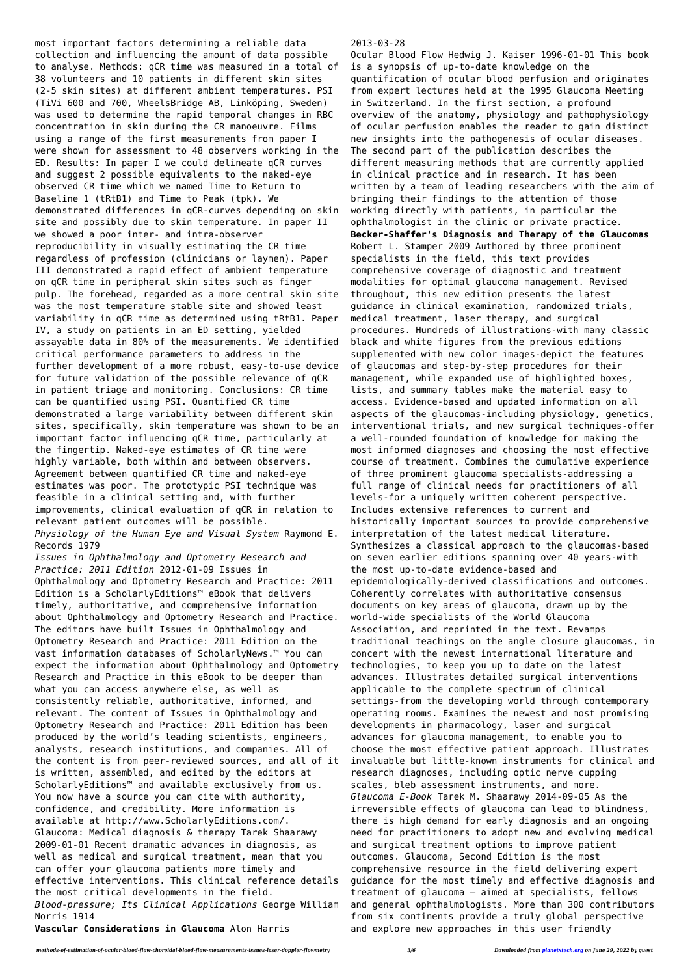most important factors determining a reliable data collection and influencing the amount of data possible to analyse. Methods: qCR time was measured in a total of 38 volunteers and 10 patients in different skin sites (2-5 skin sites) at different ambient temperatures. PSI (TiVi 600 and 700, WheelsBridge AB, Linköping, Sweden) was used to determine the rapid temporal changes in RBC concentration in skin during the CR manoeuvre. Films using a range of the first measurements from paper I were shown for assessment to 48 observers working in the ED. Results: In paper I we could delineate qCR curves and suggest 2 possible equivalents to the naked-eye observed CR time which we named Time to Return to Baseline 1 (tRtB1) and Time to Peak (tpk). We demonstrated differences in qCR-curves depending on skin site and possibly due to skin temperature. In paper II we showed a poor inter- and intra-observer reproducibility in visually estimating the CR time regardless of profession (clinicians or laymen). Paper III demonstrated a rapid effect of ambient temperature on qCR time in peripheral skin sites such as finger pulp. The forehead, regarded as a more central skin site was the most temperature stable site and showed least variability in qCR time as determined using tRtB1. Paper IV, a study on patients in an ED setting, yielded assayable data in 80% of the measurements. We identified critical performance parameters to address in the further development of a more robust, easy-to-use device for future validation of the possible relevance of qCR in patient triage and monitoring. Conclusions: CR time can be quantified using PSI. Quantified CR time demonstrated a large variability between different skin sites, specifically, skin temperature was shown to be an important factor influencing qCR time, particularly at the fingertip. Naked-eye estimates of CR time were highly variable, both within and between observers. Agreement between quantified CR time and naked-eye estimates was poor. The prototypic PSI technique was feasible in a clinical setting and, with further improvements, clinical evaluation of qCR in relation to relevant patient outcomes will be possible. *Physiology of the Human Eye and Visual System* Raymond E. Records 1979 *Issues in Ophthalmology and Optometry Research and Practice: 2011 Edition* 2012-01-09 Issues in Ophthalmology and Optometry Research and Practice: 2011

Edition is a ScholarlyEditions™ eBook that delivers timely, authoritative, and comprehensive information about Ophthalmology and Optometry Research and Practice. The editors have built Issues in Ophthalmology and Optometry Research and Practice: 2011 Edition on the vast information databases of ScholarlyNews.™ You can expect the information about Ophthalmology and Optometry Research and Practice in this eBook to be deeper than what you can access anywhere else, as well as consistently reliable, authoritative, informed, and relevant. The content of Issues in Ophthalmology and Optometry Research and Practice: 2011 Edition has been produced by the world's leading scientists, engineers, analysts, research institutions, and companies. All of the content is from peer-reviewed sources, and all of it is written, assembled, and edited by the editors at ScholarlyEditions™ and available exclusively from us. You now have a source you can cite with authority, confidence, and credibility. More information is available at http://www.ScholarlyEditions.com/. Glaucoma: Medical diagnosis & therapy Tarek Shaarawy 2009-01-01 Recent dramatic advances in diagnosis, as well as medical and surgical treatment, mean that you can offer your glaucoma patients more timely and effective interventions. This clinical reference details the most critical developments in the field. *Blood-pressure; Its Clinical Applications* George William Norris 1914

**Vascular Considerations in Glaucoma** Alon Harris

## 2013-03-28

Ocular Blood Flow Hedwig J. Kaiser 1996-01-01 This book is a synopsis of up-to-date knowledge on the quantification of ocular blood perfusion and originates from expert lectures held at the 1995 Glaucoma Meeting in Switzerland. In the first section, a profound overview of the anatomy, physiology and pathophysiology of ocular perfusion enables the reader to gain distinct new insights into the pathogenesis of ocular diseases. The second part of the publication describes the different measuring methods that are currently applied in clinical practice and in research. It has been written by a team of leading researchers with the aim of bringing their findings to the attention of those working directly with patients, in particular the ophthalmologist in the clinic or private practice. **Becker-Shaffer's Diagnosis and Therapy of the Glaucomas** Robert L. Stamper 2009 Authored by three prominent specialists in the field, this text provides comprehensive coverage of diagnostic and treatment modalities for optimal glaucoma management. Revised throughout, this new edition presents the latest guidance in clinical examination, randomized trials, medical treatment, laser therapy, and surgical procedures. Hundreds of illustrations-with many classic black and white figures from the previous editions supplemented with new color images-depict the features of glaucomas and step-by-step procedures for their management, while expanded use of highlighted boxes, lists, and summary tables make the material easy to access. Evidence-based and updated information on all aspects of the glaucomas-including physiology, genetics, interventional trials, and new surgical techniques-offer a well-rounded foundation of knowledge for making the most informed diagnoses and choosing the most effective course of treatment. Combines the cumulative experience of three prominent glaucoma specialists-addressing a full range of clinical needs for practitioners of all levels-for a uniquely written coherent perspective. Includes extensive references to current and historically important sources to provide comprehensive interpretation of the latest medical literature. Synthesizes a classical approach to the glaucomas-based on seven earlier editions spanning over 40 years-with the most up-to-date evidence-based and epidemiologically-derived classifications and outcomes. Coherently correlates with authoritative consensus documents on key areas of glaucoma, drawn up by the world-wide specialists of the World Glaucoma Association, and reprinted in the text. Revamps traditional teachings on the angle closure glaucomas, in concert with the newest international literature and technologies, to keep you up to date on the latest advances. Illustrates detailed surgical interventions applicable to the complete spectrum of clinical settings-from the developing world through contemporary operating rooms. Examines the newest and most promising developments in pharmacology, laser and surgical advances for glaucoma management, to enable you to choose the most effective patient approach. Illustrates invaluable but little-known instruments for clinical and research diagnoses, including optic nerve cupping scales, bleb assessment instruments, and more. *Glaucoma E-Book* Tarek M. Shaarawy 2014-09-05 As the irreversible effects of glaucoma can lead to blindness, there is high demand for early diagnosis and an ongoing need for practitioners to adopt new and evolving medical and surgical treatment options to improve patient outcomes. Glaucoma, Second Edition is the most comprehensive resource in the field delivering expert guidance for the most timely and effective diagnosis and treatment of glaucoma – aimed at specialists, fellows and general ophthalmologists. More than 300 contributors from six continents provide a truly global perspective and explore new approaches in this user friendly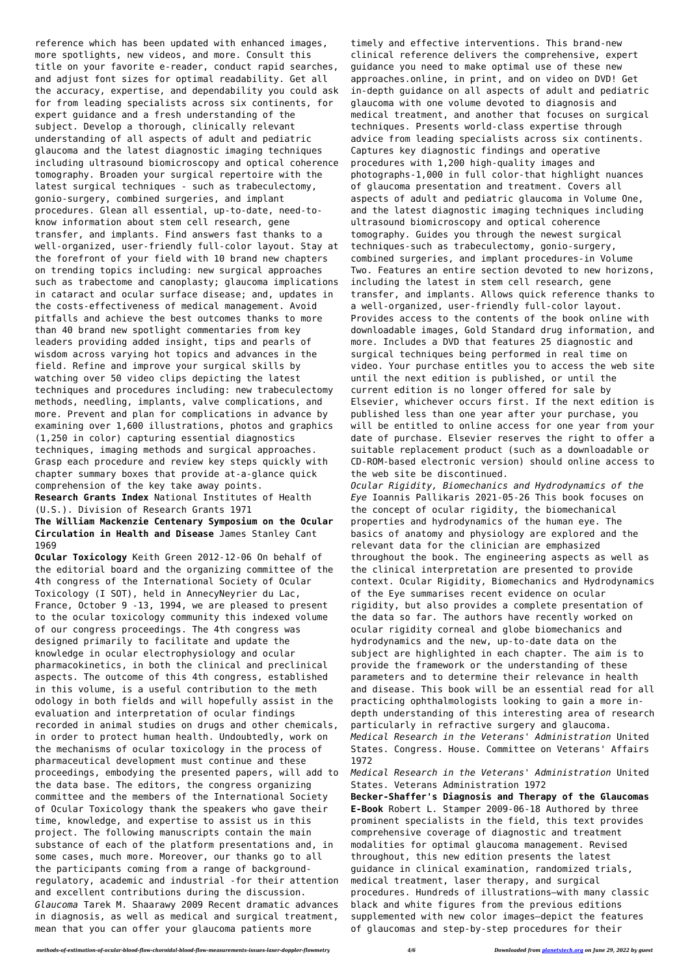reference which has been updated with enhanced images, more spotlights, new videos, and more. Consult this title on your favorite e-reader, conduct rapid searches, and adjust font sizes for optimal readability. Get all the accuracy, expertise, and dependability you could ask for from leading specialists across six continents, for expert guidance and a fresh understanding of the subject. Develop a thorough, clinically relevant understanding of all aspects of adult and pediatric glaucoma and the latest diagnostic imaging techniques including ultrasound biomicroscopy and optical coherence tomography. Broaden your surgical repertoire with the latest surgical techniques - such as trabeculectomy, gonio-surgery, combined surgeries, and implant procedures. Glean all essential, up-to-date, need-toknow information about stem cell research, gene transfer, and implants. Find answers fast thanks to a well-organized, user-friendly full-color layout. Stay at the forefront of your field with 10 brand new chapters on trending topics including: new surgical approaches such as trabectome and canoplasty; glaucoma implications in cataract and ocular surface disease; and, updates in the costs-effectiveness of medical management. Avoid pitfalls and achieve the best outcomes thanks to more than 40 brand new spotlight commentaries from key leaders providing added insight, tips and pearls of wisdom across varying hot topics and advances in the field. Refine and improve your surgical skills by watching over 50 video clips depicting the latest techniques and procedures including: new trabeculectomy methods, needling, implants, valve complications, and more. Prevent and plan for complications in advance by examining over 1,600 illustrations, photos and graphics (1,250 in color) capturing essential diagnostics techniques, imaging methods and surgical approaches. Grasp each procedure and review key steps quickly with chapter summary boxes that provide at-a-glance quick comprehension of the key take away points. **Research Grants Index** National Institutes of Health (U.S.). Division of Research Grants 1971

**The William Mackenzie Centenary Symposium on the Ocular Circulation in Health and Disease** James Stanley Cant 1969

**Ocular Toxicology** Keith Green 2012-12-06 On behalf of the editorial board and the organizing committee of the 4th congress of the International Society of Ocular Toxicology (I SOT), held in AnnecyNeyrier du Lac, France, October 9 -13, 1994, we are pleased to present to the ocular toxicology community this indexed volume of our congress proceedings. The 4th congress was designed primarily to facilitate and update the knowledge in ocular electrophysiology and ocular pharmacokinetics, in both the clinical and preclinical aspects. The outcome of this 4th congress, established in this volume, is a useful contribution to the meth odology in both fields and will hopefully assist in the evaluation and interpretation of ocular findings recorded in animal studies on drugs and other chemicals, in order to protect human health. Undoubtedly, work on the mechanisms of ocular toxicology in the process of pharmaceutical development must continue and these proceedings, embodying the presented papers, will add to the data base. The editors, the congress organizing committee and the members of the International Society of Ocular Toxicology thank the speakers who gave their time, knowledge, and expertise to assist us in this project. The following manuscripts contain the main substance of each of the platform presentations and, in some cases, much more. Moreover, our thanks go to all the participants coming from a range of backgroundregulatory, academic and industrial -for their attention and excellent contributions during the discussion. *Glaucoma* Tarek M. Shaarawy 2009 Recent dramatic advances in diagnosis, as well as medical and surgical treatment, mean that you can offer your glaucoma patients more

timely and effective interventions. This brand-new clinical reference delivers the comprehensive, expert guidance you need to make optimal use of these new approaches.online, in print, and on video on DVD! Get in-depth guidance on all aspects of adult and pediatric glaucoma with one volume devoted to diagnosis and medical treatment, and another that focuses on surgical techniques. Presents world-class expertise through advice from leading specialists across six continents. Captures key diagnostic findings and operative procedures with 1,200 high-quality images and photographs-1,000 in full color-that highlight nuances of glaucoma presentation and treatment. Covers all aspects of adult and pediatric glaucoma in Volume One, and the latest diagnostic imaging techniques including ultrasound biomicroscopy and optical coherence tomography. Guides you through the newest surgical techniques-such as trabeculectomy, gonio-surgery, combined surgeries, and implant procedures-in Volume Two. Features an entire section devoted to new horizons, including the latest in stem cell research, gene transfer, and implants. Allows quick reference thanks to a well-organized, user-friendly full-color layout. Provides access to the contents of the book online with downloadable images, Gold Standard drug information, and more. Includes a DVD that features 25 diagnostic and surgical techniques being performed in real time on video. Your purchase entitles you to access the web site until the next edition is published, or until the current edition is no longer offered for sale by Elsevier, whichever occurs first. If the next edition is published less than one year after your purchase, you will be entitled to online access for one year from your date of purchase. Elsevier reserves the right to offer a suitable replacement product (such as a downloadable or CD-ROM-based electronic version) should online access to the web site be discontinued. *Ocular Rigidity, Biomechanics and Hydrodynamics of the Eye* Ioannis Pallikaris 2021-05-26 This book focuses on the concept of ocular rigidity, the biomechanical properties and hydrodynamics of the human eye. The basics of anatomy and physiology are explored and the relevant data for the clinician are emphasized throughout the book. The engineering aspects as well as

the clinical interpretation are presented to provide context. Ocular Rigidity, Biomechanics and Hydrodynamics of the Eye summarises recent evidence on ocular rigidity, but also provides a complete presentation of the data so far. The authors have recently worked on ocular rigidity corneal and globe biomechanics and hydrodynamics and the new, up-to-date data on the subject are highlighted in each chapter. The aim is to provide the framework or the understanding of these parameters and to determine their relevance in health and disease. This book will be an essential read for all practicing ophthalmologists looking to gain a more indepth understanding of this interesting area of research particularly in refractive surgery and glaucoma.

*Medical Research in the Veterans' Administration* United States. Congress. House. Committee on Veterans' Affairs 1972

*Medical Research in the Veterans' Administration* United States. Veterans Administration 1972

**Becker-Shaffer's Diagnosis and Therapy of the Glaucomas E-Book** Robert L. Stamper 2009-06-18 Authored by three prominent specialists in the field, this text provides comprehensive coverage of diagnostic and treatment modalities for optimal glaucoma management. Revised throughout, this new edition presents the latest guidance in clinical examination, randomized trials, medical treatment, laser therapy, and surgical procedures. Hundreds of illustrations—with many classic black and white figures from the previous editions supplemented with new color images—depict the features of glaucomas and step-by-step procedures for their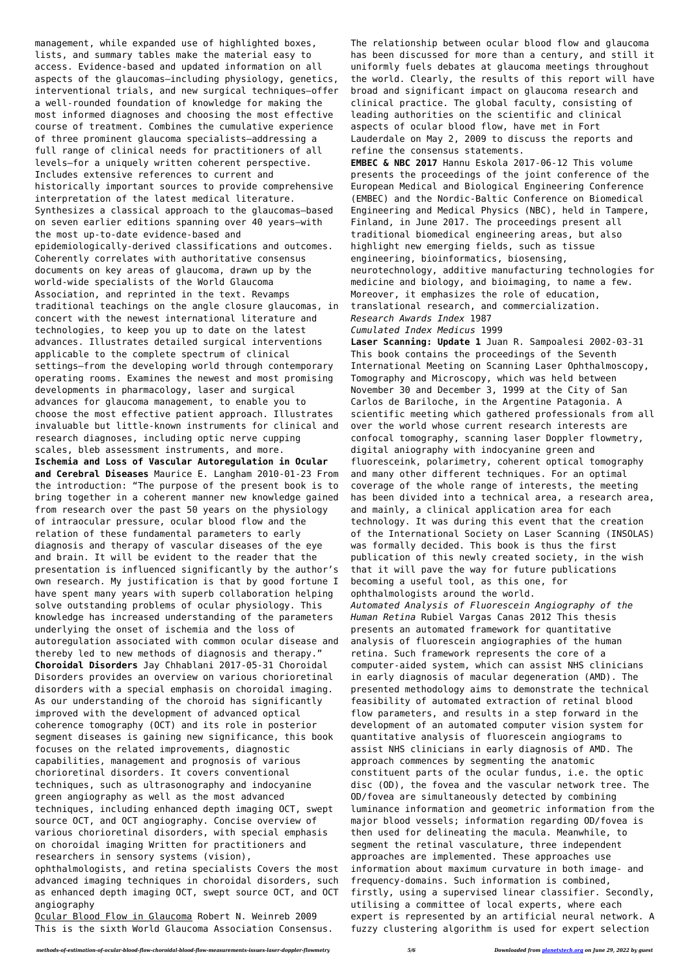management, while expanded use of highlighted boxes, lists, and summary tables make the material easy to access. Evidence-based and updated information on all aspects of the glaucomas—including physiology, genetics, interventional trials, and new surgical techniques—offer a well-rounded foundation of knowledge for making the most informed diagnoses and choosing the most effective course of treatment. Combines the cumulative experience of three prominent glaucoma specialists—addressing a full range of clinical needs for practitioners of all levels—for a uniquely written coherent perspective. Includes extensive references to current and historically important sources to provide comprehensive interpretation of the latest medical literature. Synthesizes a classical approach to the glaucomas—based on seven earlier editions spanning over 40 years—with the most up-to-date evidence-based and epidemiologically-derived classifications and outcomes. Coherently correlates with authoritative consensus documents on key areas of glaucoma, drawn up by the world-wide specialists of the World Glaucoma Association, and reprinted in the text. Revamps traditional teachings on the angle closure glaucomas, in concert with the newest international literature and technologies, to keep you up to date on the latest advances. Illustrates detailed surgical interventions applicable to the complete spectrum of clinical settings—from the developing world through contemporary operating rooms. Examines the newest and most promising developments in pharmacology, laser and surgical advances for glaucoma management, to enable you to choose the most effective patient approach. Illustrates invaluable but little-known instruments for clinical and research diagnoses, including optic nerve cupping scales, bleb assessment instruments, and more. **Ischemia and Loss of Vascular Autoregulation in Ocular and Cerebral Diseases** Maurice E. Langham 2010-01-23 From the introduction: "The purpose of the present book is to bring together in a coherent manner new knowledge gained from research over the past 50 years on the physiology of intraocular pressure, ocular blood flow and the relation of these fundamental parameters to early diagnosis and therapy of vascular diseases of the eye and brain. It will be evident to the reader that the presentation is influenced significantly by the author's own research. My justification is that by good fortune I have spent many years with superb collaboration helping solve outstanding problems of ocular physiology. This knowledge has increased understanding of the parameters underlying the onset of ischemia and the loss of autoregulation associated with common ocular disease and thereby led to new methods of diagnosis and therapy." **Choroidal Disorders** Jay Chhablani 2017-05-31 Choroidal Disorders provides an overview on various chorioretinal disorders with a special emphasis on choroidal imaging. As our understanding of the choroid has significantly improved with the development of advanced optical coherence tomography (OCT) and its role in posterior segment diseases is gaining new significance, this book focuses on the related improvements, diagnostic capabilities, management and prognosis of various chorioretinal disorders. It covers conventional techniques, such as ultrasonography and indocyanine green angiography as well as the most advanced techniques, including enhanced depth imaging OCT, swept source OCT, and OCT angiography. Concise overview of various chorioretinal disorders, with special emphasis on choroidal imaging Written for practitioners and researchers in sensory systems (vision),

ophthalmologists, and retina specialists Covers the most advanced imaging techniques in choroidal disorders, such as enhanced depth imaging OCT, swept source OCT, and OCT angiography

Ocular Blood Flow in Glaucoma Robert N. Weinreb 2009 This is the sixth World Glaucoma Association Consensus. The relationship between ocular blood flow and glaucoma has been discussed for more than a century, and still it uniformly fuels debates at glaucoma meetings throughout the world. Clearly, the results of this report will have broad and significant impact on glaucoma research and clinical practice. The global faculty, consisting of leading authorities on the scientific and clinical aspects of ocular blood flow, have met in Fort Lauderdale on May 2, 2009 to discuss the reports and refine the consensus statements. **EMBEC & NBC 2017** Hannu Eskola 2017-06-12 This volume

presents the proceedings of the joint conference of the European Medical and Biological Engineering Conference (EMBEC) and the Nordic-Baltic Conference on Biomedical Engineering and Medical Physics (NBC), held in Tampere, Finland, in June 2017. The proceedings present all traditional biomedical engineering areas, but also highlight new emerging fields, such as tissue engineering, bioinformatics, biosensing, neurotechnology, additive manufacturing technologies for medicine and biology, and bioimaging, to name a few. Moreover, it emphasizes the role of education, translational research, and commercialization. *Research Awards Index* 1987

*Cumulated Index Medicus* 1999

**Laser Scanning: Update 1** Juan R. Sampoalesi 2002-03-31 This book contains the proceedings of the Seventh International Meeting on Scanning Laser Ophthalmoscopy, Tomography and Microscopy, which was held between November 30 and December 3, 1999 at the City of San Carlos de Bariloche, in the Argentine Patagonia. A scientific meeting which gathered professionals from all over the world whose current research interests are confocal tomography, scanning laser Doppler flowmetry, digital aniography with indocyanine green and fluoresceink, polarimetry, coherent optical tomography and many other different techniques. For an optimal coverage of the whole range of interests, the meeting has been divided into a technical area, a research area, and mainly, a clinical application area for each technology. It was during this event that the creation of the International Society on Laser Scanning (INSOLAS) was formally decided. This book is thus the first publication of this newly created society, in the wish that it will pave the way for future publications becoming a useful tool, as this one, for ophthalmologists around the world. *Automated Analysis of Fluorescein Angiography of the Human Retina* Rubiel Vargas Canas 2012 This thesis presents an automated framework for quantitative analysis of fluorescein angiographies of the human retina. Such framework represents the core of a computer-aided system, which can assist NHS clinicians in early diagnosis of macular degeneration (AMD). The presented methodology aims to demonstrate the technical feasibility of automated extraction of retinal blood flow parameters, and results in a step forward in the development of an automated computer vision system for quantitative analysis of fluorescein angiograms to assist NHS clinicians in early diagnosis of AMD. The approach commences by segmenting the anatomic constituent parts of the ocular fundus, i.e. the optic disc (OD), the fovea and the vascular network tree. The OD/fovea are simultaneously detected by combining luminance information and geometric information from the major blood vessels; information regarding OD/fovea is then used for delineating the macula. Meanwhile, to segment the retinal vasculature, three independent approaches are implemented. These approaches use information about maximum curvature in both image- and frequency-domains. Such information is combined, firstly, using a supervised linear classifier. Secondly, utilising a committee of local experts, where each expert is represented by an artificial neural network. A fuzzy clustering algorithm is used for expert selection